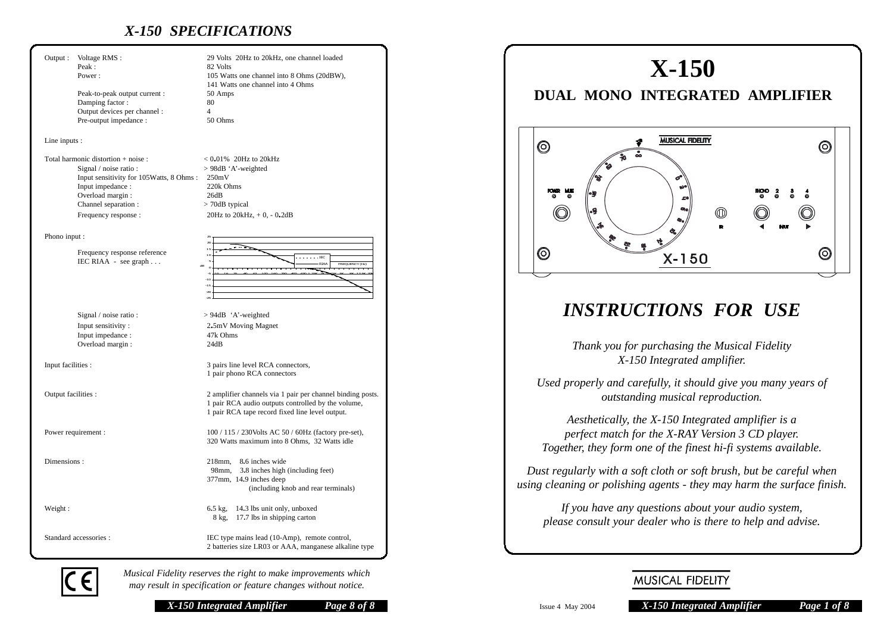# *X-150 SPECIFICATIONS*

| Output:                             | Voltage RMS:<br>Peak:<br>Power:                                                                                                                             | 29 Volts 20Hz to 20kHz, one channel loaded<br>82 Volts<br>105 Watts one channel into 8 Ohms (20dBW),<br>141 Watts one channel into 4 Ohms                           |
|-------------------------------------|-------------------------------------------------------------------------------------------------------------------------------------------------------------|---------------------------------------------------------------------------------------------------------------------------------------------------------------------|
|                                     | Peak-to-peak output current :<br>Damping factor:<br>Output devices per channel :                                                                            | 50 Amps<br>80<br>$\overline{4}$                                                                                                                                     |
|                                     | Pre-output impedance :                                                                                                                                      | 50 Ohms                                                                                                                                                             |
| Line inputs :                       |                                                                                                                                                             |                                                                                                                                                                     |
| Total harmonic distortion + noise : |                                                                                                                                                             | $< 0.01\%$ 20Hz to 20kHz                                                                                                                                            |
|                                     | Signal / noise ratio :<br>Input sensitivity for 105Watts, 8 Ohms:<br>Input impedance :<br>Overload margin :<br>Channel separation :<br>Frequency response : | > 98dB 'A'-weighted<br>250mV<br>220k Ohms<br>26dB<br>> 70dB typical<br>20Hz to 20kHz, $+$ 0, $-$ 0.2dB                                                              |
|                                     |                                                                                                                                                             |                                                                                                                                                                     |
| Phono input :                       | Frequency response reference<br>IEC RIAA - see graph                                                                                                        | 10<br>$100 - 100$<br>RIAA<br>FREQUENCY (Hz)<br>dB<br>$\circ$<br>-S<br>$-10$<br>$-15$<br>$\alpha$                                                                    |
|                                     | Signal / noise ratio :                                                                                                                                      | $> 94dB$ 'A'-weighted                                                                                                                                               |
|                                     | Input sensitivity :                                                                                                                                         | 2.5mV Moving Magnet                                                                                                                                                 |
|                                     | Input impedance :<br>Overload margin:                                                                                                                       | 47k Ohms<br>24dB                                                                                                                                                    |
| Input facilities :                  |                                                                                                                                                             | 3 pairs line level RCA connectors,<br>1 pair phono RCA connectors                                                                                                   |
| Output facilities :                 |                                                                                                                                                             | 2 amplifier channels via 1 pair per channel binding posts.<br>1 pair RCA audio outputs controlled by the volume,<br>1 pair RCA tape record fixed line level output. |
| Power requirement :                 |                                                                                                                                                             | 100 / 115 / 230 Volts AC 50 / 60 Hz (factory pre-set),<br>320 Watts maximum into 8 Ohms, 32 Watts idle                                                              |
| Dimensions:                         |                                                                                                                                                             | $218$ mm.<br>8.6 inches wide<br>98mm, 3.8 inches high (including feet)<br>377mm, 14.9 inches deep<br>(including knob and rear terminals)                            |
| Weight:                             |                                                                                                                                                             | 6.5 kg, 14.3 lbs unit only, unboxed<br>8 kg, 17.7 lbs in shipping carton                                                                                            |
| Standard accessories :              |                                                                                                                                                             | IEC type mains lead (10-Amp), remote control,<br>2 batteries size LR03 or AAA, manganese alkaline type                                                              |

# **X-150**

# **DUAL MONO INTEGRATED AMPLIFIER**



# *INSTRUCTIONS FOR USE*

*Thank you for purchasing the Musical Fidelity X-150 Integrated amplifier.*

*Used properly and carefully, it should give you many years of outstanding musical reproduction.*

*Aesthetically, the X-150 Integrated amplifier is a perfect match for the X-RAY Version 3 CD player. Together, they form one of the finest hi-fi systems available.*

*Dust regularly with a soft cloth or soft brush, but be careful when using cleaning or polishing agents - they may harm the surface finish.*

*If you have any questions about your audio system, please consult your dealer who is there to help and advise.*



*Musical Fidelity reserves the right to make improvements which may result in specification or feature changes without notice.*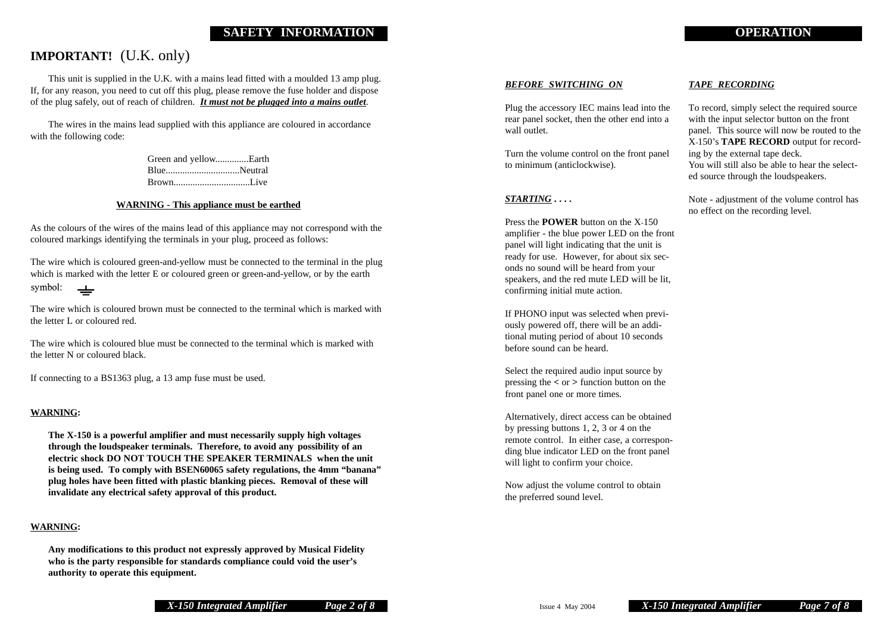### **SAFETY INFORMATION OPERATION**

## **IMPORTANT!** (U.K. only)

This unit is supplied in the U.K. with a mains lead fitted with a moulded 13 amp plug. If, for any reason, you need to cut off this plug, please remove the fuse holder and dispose of the plug safely, out of reach of children. *It must not be plugged into a mains outlet*.

The wires in the mains lead supplied with this appliance are coloured in accordance with the following code:

> Green and yellow..............Earth Blue...............................Neutral Brown................................Live

#### **WARNING - This appliance must be earthed**

As the colours of the wires of the mains lead of this appliance may not correspond with the coloured markings identifying the terminals in your plug, proceed as follows:

The wire which is coloured green-and-yellow must be connected to the terminal in the plug which is marked with the letter E or coloured green or green-and-yellow, or by the earth symbol:  $\overline{\phantom{a}}$ 

The wire which is coloured brown must be connected to the terminal which is marked with the letter L or coloured red.

The wire which is coloured blue must be connected to the terminal which is marked with the letter N or coloured black.

If connecting to a BS1363 plug, a 13 amp fuse must be used.

#### **WARNING:**

**The X-150 is a powerful amplifier and must necessarily supply high voltages through the loudspeaker terminals. Therefore, to avoid any possibility of an electric shock DO NOT TOUCH THE SPEAKER TERMINALS when the unit is being used. To comply with BSEN60065 safety regulations, the 4mm "banana" plug holes have been fitted with plastic blanking pieces. Removal of these will invalidate any electrical safety approval of this product.**

#### **WARNING:**

**Any modifications to this product not expressly approved by Musical Fidelity who is the party responsible for standards compliance could void the user's authority to operate this equipment.**

#### *BEFORE SWITCHING ON*

Plug the accessory IEC mains lead into the rear panel socket, then the other end into a wall outlet.

Turn the volume control on the front panel to minimum (anticlockwise).

#### *STARTING* **. . . .**

Press the **POWER** button on the X-150 amplifier - the blue power LED on the front panel will light indicating that the unit is ready for use. However, for about six seconds no sound will be heard from your speakers, and the red mute LED will be lit, confirming initial mute action.

If PHONO input was selected when previously powered off, there will be an additional muting period of about 10 seconds before sound can be heard.

Select the required audio input source by pressing the **<** or **>** function button on the front panel one or more times.

Alternatively, direct access can be obtained by pressing buttons 1, 2, 3 or 4 on the remote control. In either case, a corresponding blue indicator LED on the front panel will light to confirm your choice.

Now adjust the volume control to obtain the preferred sound level.

#### *TAPE RECORDING*

To record, simply select the required source with the input selector button on the front panel. This source will now be routed to the X-150's **TAPE RECORD** output for recording by the external tape deck. You will still also be able to hear the selected source through the loudspeakers.

Note - adjustment of the volume control has no effect on the recording level.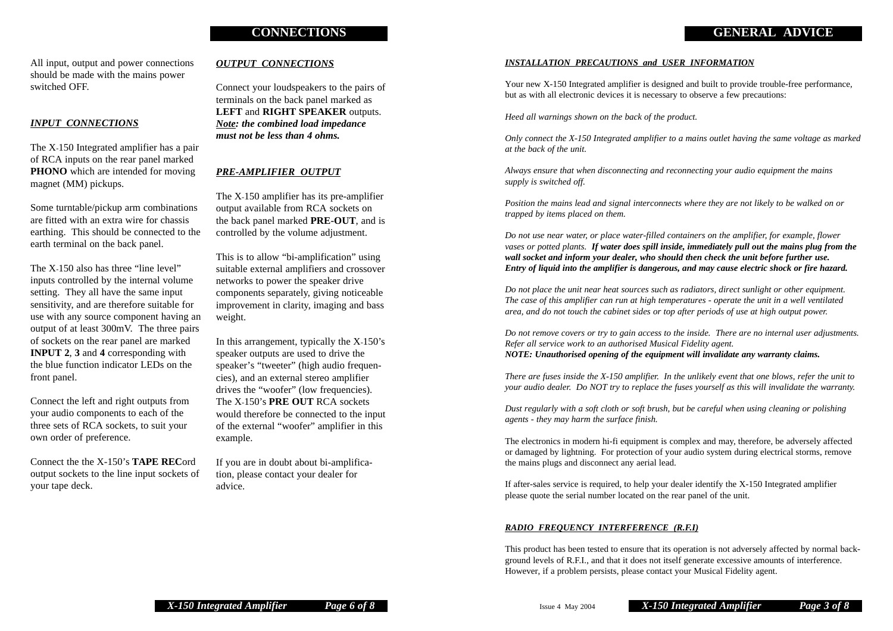#### **CONNECTIONS GENERAL ADVICE**

All input, output and power connections should be made with the mains power switched OFF.

#### *INPUT CONNECTIONS*

The X-150 Integrated amplifier has a pair of RCA inputs on the rear panel marked **PHONO** which are intended for moving magnet (MM) pickups.

Some turntable/pickup arm combinations are fitted with an extra wire for chassis earthing. This should be connected to the earth terminal on the back panel.

The X-150 also has three "line level" inputs controlled by the internal volume setting. They all have the same input sensitivity, and are therefore suitable for use with any source component having an output of at least 300mV. The three pairs of sockets on the rear panel are marked **INPUT 2**, **3** and **4** corresponding with the blue function indicator LEDs on the front panel.

Connect the left and right outputs from your audio components to each of the three sets of RCA sockets, to suit your own order of preference.

Connect the the X-150's **TAPE REC**ord output sockets to the line input sockets of your tape deck.

#### *OUTPUT CONNECTIONS*

Connect your loudspeakers to the pairs of terminals on the back panel marked as **LEFT** and **RIGHT SPEAKER** outputs. *Note: the combined load impedance must not be less than 4 ohms.*

#### *PRE-AMPLIFIER OUTPUT*

The X-150 amplifier has its pre-amplifier output available from RCA sockets on the back panel marked **PRE-OUT**, and is controlled by the volume adjustment.

This is to allow "bi-amplification" using suitable external amplifiers and crossover networks to power the speaker drive components separately, giving noticeable improvement in clarity, imaging and bass weight.

In this arrangement, typically the X-150's speaker outputs are used to drive the speaker's "tweeter" (high audio frequencies), and an external stereo amplifier drives the "woofer" (low frequencies). The X-150's **PRE OUT** RCA sockets would therefore be connected to the input of the external "woofer" amplifier in this example.

If you are in doubt about bi-amplification, please contact your dealer for advice.

#### *INSTALLATION PRECAUTIONS and USER INFORMATION*

Your new X-150 Integrated amplifier is designed and built to provide trouble-free performance, but as with all electronic devices it is necessary to observe a few precautions:

*Heed all warnings shown on the back of the product.*

*Only connect the X-150 Integrated amplifier to a mains outlet having the same voltage as marked at the back of the unit.*

*Always ensure that when disconnecting and reconnecting your audio equipment the mains supply is switched off.*

*Position the mains lead and signal interconnects where they are not likely to be walked on or trapped by items placed on them.*

*Do not use near water, or place water-filled containers on the amplifier, for example, flower vases or potted plants. If water does spill inside, immediately pull out the mains plug from the wall socket and inform your dealer, who should then check the unit before further use. Entry of liquid into the amplifier is dangerous, and may cause electric shock or fire hazard.*

*Do not place the unit near heat sources such as radiators, direct sunlight or other equipment. The case of this amplifier can run at high temperatures - operate the unit in a well ventilated area, and do not touch the cabinet sides or top after periods of use at high output power.*

*Do not remove covers or try to gain access to the inside. There are no internal user adjustments. Refer all service work to an authorised Musical Fidelity agent. NOTE: Unauthorised opening of the equipment will invalidate any warranty claims.*

*There are fuses inside the X-150 amplifier. In the unlikely event that one blows, refer the unit to your audio dealer. Do NOT try to replace the fuses yourself as this will invalidate the warranty.*

*Dust regularly with a soft cloth or soft brush, but be careful when using cleaning or polishing agents - they may harm the surface finish.*

The electronics in modern hi-fi equipment is complex and may, therefore, be adversely affected or damaged by lightning. For protection of your audio system during electrical storms, remove the mains plugs and disconnect any aerial lead.

If after-sales service is required, to help your dealer identify the X-150 Integrated amplifier please quote the serial number located on the rear panel of the unit.

#### *RADIO FREQUENCY INTERFERENCE (R.F.I)*

This product has been tested to ensure that its operation is not adversely affected by normal background levels of R.F.I., and that it does not itself generate excessive amounts of interference. However, if a problem persists, please contact your Musical Fidelity agent.